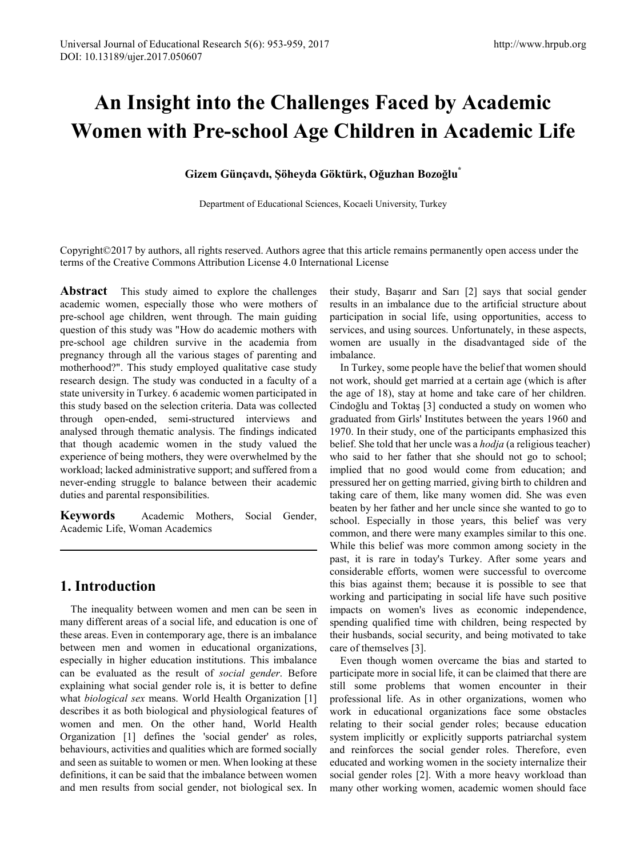# **An Insight into the Challenges Faced by Academic Women with Pre-school Age Children in Academic Life**

## **Gizem Günçavdı, Şöheyda Göktürk, Oğuzhan Bozoğlu\***

Department of Educational Sciences, Kocaeli University, Turkey

Copyright©2017 by authors, all rights reserved. Authors agree that this article remains permanently open access under the terms of the Creative Commons Attribution License 4.0 International License

**Abstract** This study aimed to explore the challenges academic women, especially those who were mothers of pre-school age children, went through. The main guiding question of this study was "How do academic mothers with pre-school age children survive in the academia from pregnancy through all the various stages of parenting and motherhood?". This study employed qualitative case study research design. The study was conducted in a faculty of a state university in Turkey. 6 academic women participated in this study based on the selection criteria. Data was collected through open-ended, semi-structured interviews and analysed through thematic analysis. The findings indicated that though academic women in the study valued the experience of being mothers, they were overwhelmed by the workload; lacked administrative support; and suffered from a never-ending struggle to balance between their academic duties and parental responsibilities.

**Keywords** Academic Mothers, Social Gender, Academic Life, Woman Academics

# **1. Introduction**

The inequality between women and men can be seen in many different areas of a social life, and education is one of these areas. Even in contemporary age, there is an imbalance between men and women in educational organizations, especially in higher education institutions. This imbalance can be evaluated as the result of *social gender*. Before explaining what social gender role is, it is better to define what *biological sex* means. World Health Organization [1] describes it as both biological and physiological features of women and men. On the other hand, World Health Organization [1] defines the 'social gender' as roles, behaviours, activities and qualities which are formed socially and seen as suitable to women or men. When looking at these definitions, it can be said that the imbalance between women and men results from social gender, not biological sex. In

their study, Başarır and Sarı [2] says that social gender results in an imbalance due to the artificial structure about participation in social life, using opportunities, access to services, and using sources. Unfortunately, in these aspects, women are usually in the disadvantaged side of the imbalance.

In Turkey, some people have the belief that women should not work, should get married at a certain age (which is after the age of 18), stay at home and take care of her children. Cindoğlu and Toktaş [3] conducted a study on women who graduated from Girls' Institutes between the years 1960 and 1970. In their study, one of the participants emphasized this belief. She told that her uncle was a *hodja* (a religious teacher) who said to her father that she should not go to school; implied that no good would come from education; and pressured her on getting married, giving birth to children and taking care of them, like many women did. She was even beaten by her father and her uncle since she wanted to go to school. Especially in those years, this belief was very common, and there were many examples similar to this one. While this belief was more common among society in the past, it is rare in today's Turkey. After some years and considerable efforts, women were successful to overcome this bias against them; because it is possible to see that working and participating in social life have such positive impacts on women's lives as economic independence, spending qualified time with children, being respected by their husbands, social security, and being motivated to take care of themselves [3].

Even though women overcame the bias and started to participate more in social life, it can be claimed that there are still some problems that women encounter in their professional life. As in other organizations, women who work in educational organizations face some obstacles relating to their social gender roles; because education system implicitly or explicitly supports patriarchal system and reinforces the social gender roles. Therefore, even educated and working women in the society internalize their social gender roles [2]. With a more heavy workload than many other working women, academic women should face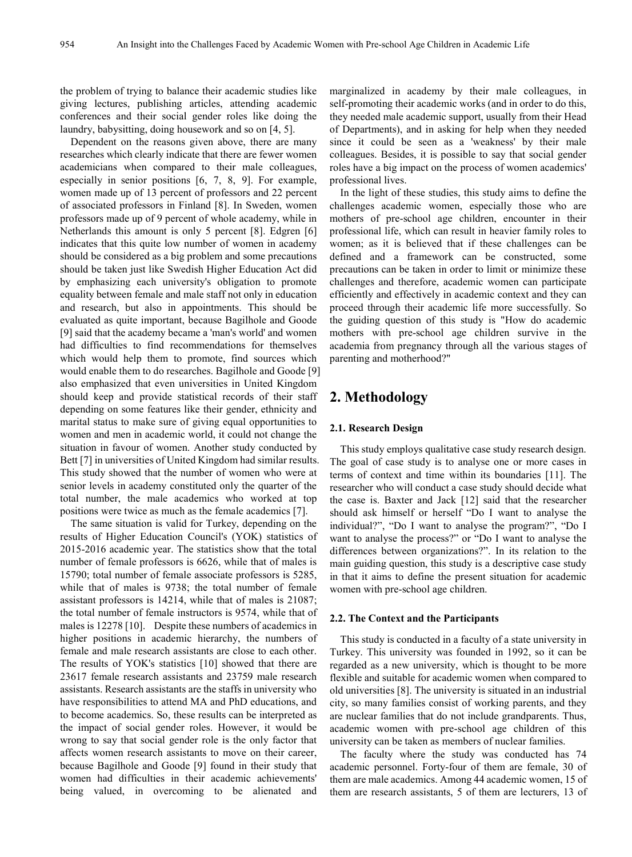the problem of trying to balance their academic studies like giving lectures, publishing articles, attending academic conferences and their social gender roles like doing the laundry, babysitting, doing housework and so on [4, 5].

Dependent on the reasons given above, there are many researches which clearly indicate that there are fewer women academicians when compared to their male colleagues, especially in senior positions [6, 7, 8, 9]. For example, women made up of 13 percent of professors and 22 percent of associated professors in Finland [8]. In Sweden, women professors made up of 9 percent of whole academy, while in Netherlands this amount is only 5 percent [8]. Edgren [6] indicates that this quite low number of women in academy should be considered as a big problem and some precautions should be taken just like Swedish Higher Education Act did by emphasizing each university's obligation to promote equality between female and male staff not only in education and research, but also in appointments. This should be evaluated as quite important, because Bagilhole and Goode [9] said that the academy became a 'man's world' and women had difficulties to find recommendations for themselves which would help them to promote, find sources which would enable them to do researches. Bagilhole and Goode [9] also emphasized that even universities in United Kingdom should keep and provide statistical records of their staff depending on some features like their gender, ethnicity and marital status to make sure of giving equal opportunities to women and men in academic world, it could not change the situation in favour of women. Another study conducted by Bett [7] in universities of United Kingdom had similar results. This study showed that the number of women who were at senior levels in academy constituted only the quarter of the total number, the male academics who worked at top positions were twice as much as the female academics [7].

The same situation is valid for Turkey, depending on the results of Higher Education Council's (YOK) statistics of 2015-2016 academic year. The statistics show that the total number of female professors is 6626, while that of males is 15790; total number of female associate professors is 5285, while that of males is 9738; the total number of female assistant professors is 14214, while that of males is 21087; the total number of female instructors is 9574, while that of males is 12278 [10]. Despite these numbers of academics in higher positions in academic hierarchy, the numbers of female and male research assistants are close to each other. The results of YOK's statistics [10] showed that there are 23617 female research assistants and 23759 male research assistants. Research assistants are the staffs in university who have responsibilities to attend MA and PhD educations, and to become academics. So, these results can be interpreted as the impact of social gender roles. However, it would be wrong to say that social gender role is the only factor that affects women research assistants to move on their career, because Bagilhole and Goode [9] found in their study that women had difficulties in their academic achievements' being valued, in overcoming to be alienated and

marginalized in academy by their male colleagues, in self-promoting their academic works (and in order to do this, they needed male academic support, usually from their Head of Departments), and in asking for help when they needed since it could be seen as a 'weakness' by their male colleagues. Besides, it is possible to say that social gender roles have a big impact on the process of women academics' professional lives.

In the light of these studies, this study aims to define the challenges academic women, especially those who are mothers of pre-school age children, encounter in their professional life, which can result in heavier family roles to women; as it is believed that if these challenges can be defined and a framework can be constructed, some precautions can be taken in order to limit or minimize these challenges and therefore, academic women can participate efficiently and effectively in academic context and they can proceed through their academic life more successfully. So the guiding question of this study is "How do academic mothers with pre-school age children survive in the academia from pregnancy through all the various stages of parenting and motherhood?"

# **2. Methodology**

#### **2.1. Research Design**

This study employs qualitative case study research design. The goal of case study is to analyse one or more cases in terms of context and time within its boundaries [11]. The researcher who will conduct a case study should decide what the case is. Baxter and Jack [12] said that the researcher should ask himself or herself "Do I want to analyse the individual?", "Do I want to analyse the program?", "Do I want to analyse the process?" or "Do I want to analyse the differences between organizations?". In its relation to the main guiding question, this study is a descriptive case study in that it aims to define the present situation for academic women with pre-school age children.

#### **2.2. The Context and the Participants**

This study is conducted in a faculty of a state university in Turkey. This university was founded in 1992, so it can be regarded as a new university, which is thought to be more flexible and suitable for academic women when compared to old universities [8]. The university is situated in an industrial city, so many families consist of working parents, and they are nuclear families that do not include grandparents. Thus, academic women with pre-school age children of this university can be taken as members of nuclear families.

The faculty where the study was conducted has 74 academic personnel. Forty-four of them are female, 30 of them are male academics. Among 44 academic women, 15 of them are research assistants, 5 of them are lecturers, 13 of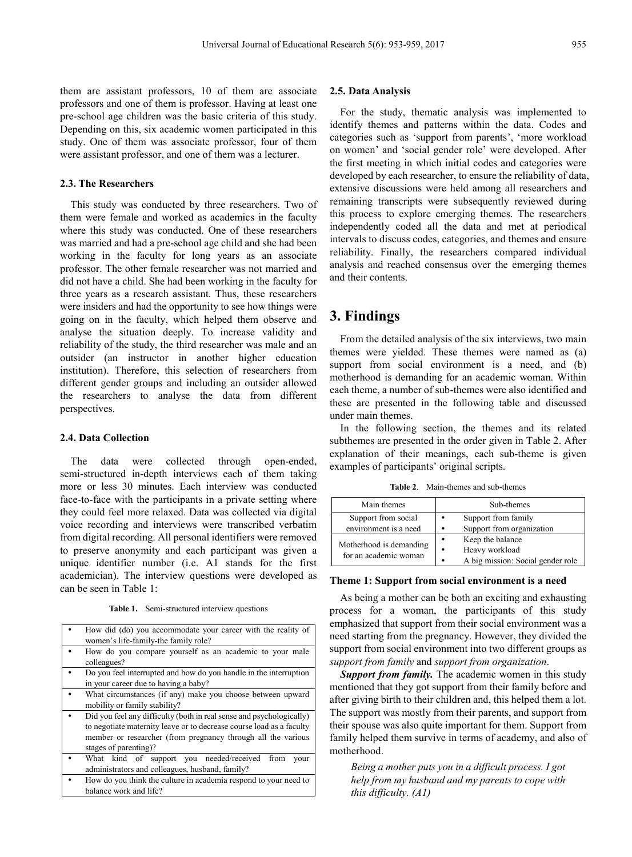them are assistant professors, 10 of them are associate professors and one of them is professor. Having at least one pre-school age children was the basic criteria of this study. Depending on this, six academic women participated in this

#### **2.3. The Researchers**

This study was conducted by three researchers. Two of them were female and worked as academics in the faculty where this study was conducted. One of these researchers was married and had a pre-school age child and she had been working in the faculty for long years as an associate professor. The other female researcher was not married and did not have a child. She had been working in the faculty for three years as a research assistant. Thus, these researchers were insiders and had the opportunity to see how things were going on in the faculty, which helped them observe and analyse the situation deeply. To increase validity and reliability of the study, the third researcher was male and an outsider (an instructor in another higher education institution). Therefore, this selection of researchers from different gender groups and including an outsider allowed the researchers to analyse the data from different perspectives.

study. One of them was associate professor, four of them were assistant professor, and one of them was a lecturer.

#### **2.4. Data Collection**

The data were collected through open-ended, semi-structured in-depth interviews each of them taking more or less 30 minutes. Each interview was conducted face-to-face with the participants in a private setting where they could feel more relaxed. Data was collected via digital voice recording and interviews were transcribed verbatim from digital recording. All personal identifiers were removed to preserve anonymity and each participant was given a unique identifier number (i.e. A1 stands for the first academician). The interview questions were developed as can be seen in Table 1:

**Table 1.** Semi-structured interview questions

| How did (do) you accommodate your career with the reality of<br>women's life-family-the family role?                                                                                                                                  |  |  |
|---------------------------------------------------------------------------------------------------------------------------------------------------------------------------------------------------------------------------------------|--|--|
| How do you compare yourself as an academic to your male<br>colleagues?                                                                                                                                                                |  |  |
| Do you feel interrupted and how do you handle in the interruption<br>in your career due to having a baby?                                                                                                                             |  |  |
| What circumstances (if any) make you choose between upward<br>mobility or family stability?                                                                                                                                           |  |  |
| Did you feel any difficulty (both in real sense and psychologically)<br>to negotiate maternity leave or to decrease course load as a faculty<br>member or researcher (from pregnancy through all the various<br>stages of parenting)? |  |  |
| What kind of support you needed/received<br>from<br>vour<br>administrators and colleagues, husband, family?                                                                                                                           |  |  |
| How do you think the culture in academia respond to your need to<br>balance work and life?                                                                                                                                            |  |  |

#### **2.5. Data Analysis**

For the study, thematic analysis was implemented to identify themes and patterns within the data. Codes and categories such as 'support from parents', 'more workload on women' and 'social gender role' were developed. After the first meeting in which initial codes and categories were developed by each researcher, to ensure the reliability of data, extensive discussions were held among all researchers and remaining transcripts were subsequently reviewed during this process to explore emerging themes. The researchers independently coded all the data and met at periodical intervals to discuss codes, categories, and themes and ensure reliability. Finally, the researchers compared individual analysis and reached consensus over the emerging themes and their contents.

## **3. Findings**

From the detailed analysis of the six interviews, two main themes were yielded. These themes were named as (a) support from social environment is a need, and (b) motherhood is demanding for an academic woman. Within each theme, a number of sub-themes were also identified and these are presented in the following table and discussed under main themes.

In the following section, the themes and its related subthemes are presented in the order given in Table 2. After explanation of their meanings, each sub-theme is given examples of participants' original scripts.

**Table 2**. Main-themes and sub-themes

| Main themes             |           | Sub-themes                        |  |  |
|-------------------------|-----------|-----------------------------------|--|--|
| Support from social     | $\bullet$ | Support from family               |  |  |
| environment is a need   |           | Support from organization         |  |  |
| Motherhood is demanding | ٠         | Keep the balance                  |  |  |
| for an academic woman   |           | Heavy workload                    |  |  |
|                         |           | A big mission: Social gender role |  |  |

#### **Theme 1: Support from social environment is a need**

As being a mother can be both an exciting and exhausting process for a woman, the participants of this study emphasized that support from their social environment was a need starting from the pregnancy. However, they divided the support from social environment into two different groups as *support from family* and *support from organization*.

*Support from family.* The academic women in this study mentioned that they got support from their family before and after giving birth to their children and, this helped them a lot. The support was mostly from their parents, and support from their spouse was also quite important for them. Support from family helped them survive in terms of academy, and also of motherhood.

*Being a mother puts you in a difficult process. I got help from my husband and my parents to cope with this difficulty. (A1)*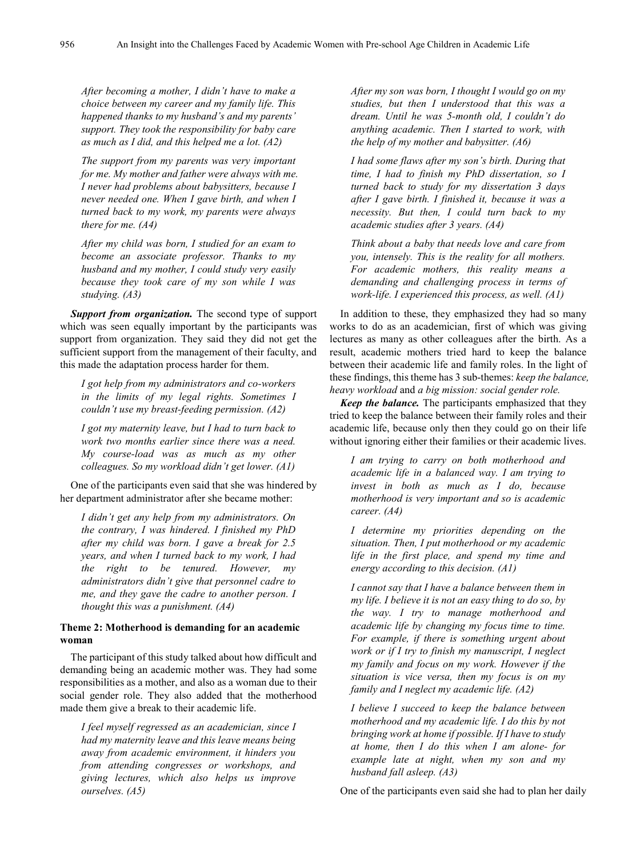*After becoming a mother, I didn't have to make a choice between my career and my family life. This happened thanks to my husband's and my parents' support. They took the responsibility for baby care as much as I did, and this helped me a lot. (A2)*

*The support from my parents was very important for me. My mother and father were always with me. I never had problems about babysitters, because I never needed one. When I gave birth, and when I turned back to my work, my parents were always there for me. (A4)*

*After my child was born, I studied for an exam to become an associate professor. Thanks to my husband and my mother, I could study very easily because they took care of my son while I was studying. (A3)*

*Support from organization.* The second type of support which was seen equally important by the participants was support from organization. They said they did not get the sufficient support from the management of their faculty, and this made the adaptation process harder for them.

*I got help from my administrators and co-workers in the limits of my legal rights. Sometimes I couldn't use my breast-feeding permission. (A2)*

*I got my maternity leave, but I had to turn back to work two months earlier since there was a need. My course-load was as much as my other colleagues. So my workload didn't get lower. (A1)*

One of the participants even said that she was hindered by her department administrator after she became mother:

*I didn't get any help from my administrators. On the contrary, I was hindered. I finished my PhD after my child was born. I gave a break for 2.5 years, and when I turned back to my work, I had the right to be tenured. However, my administrators didn't give that personnel cadre to me, and they gave the cadre to another person. I thought this was a punishment. (A4)*

#### **Theme 2: Motherhood is demanding for an academic woman**

The participant of this study talked about how difficult and demanding being an academic mother was. They had some responsibilities as a mother, and also as a woman due to their social gender role. They also added that the motherhood made them give a break to their academic life.

*I feel myself regressed as an academician, since I had my maternity leave and this leave means being away from academic environment, it hinders you from attending congresses or workshops, and giving lectures, which also helps us improve ourselves. (A5)*

*After my son was born, I thought I would go on my studies, but then I understood that this was a dream. Until he was 5-month old, I couldn't do anything academic. Then I started to work, with the help of my mother and babysitter. (A6)*

*I had some flaws after my son's birth. During that time, I had to finish my PhD dissertation, so I turned back to study for my dissertation 3 days after I gave birth. I finished it, because it was a necessity. But then, I could turn back to my academic studies after 3 years. (A4)*

*Think about a baby that needs love and care from you, intensely. This is the reality for all mothers. For academic mothers, this reality means a demanding and challenging process in terms of work-life. I experienced this process, as well. (A1)*

In addition to these, they emphasized they had so many works to do as an academician, first of which was giving lectures as many as other colleagues after the birth. As a result, academic mothers tried hard to keep the balance between their academic life and family roles. In the light of these findings, this theme has 3 sub-themes: *keep the balance, heavy workload* and *a big mission: social gender role.*

*Keep the balance.* The participants emphasized that they tried to keep the balance between their family roles and their academic life, because only then they could go on their life without ignoring either their families or their academic lives.

*I am trying to carry on both motherhood and academic life in a balanced way. I am trying to invest in both as much as I do, because motherhood is very important and so is academic career. (A4)*

*I determine my priorities depending on the situation. Then, I put motherhood or my academic life in the first place, and spend my time and energy according to this decision. (A1)*

*I cannot say that I have a balance between them in my life. I believe it is not an easy thing to do so, by the way. I try to manage motherhood and academic life by changing my focus time to time. For example, if there is something urgent about work or if I try to finish my manuscript, I neglect my family and focus on my work. However if the situation is vice versa, then my focus is on my family and I neglect my academic life. (A2)*

*I believe I succeed to keep the balance between motherhood and my academic life. I do this by not bringing work at home if possible. If I have to study at home, then I do this when I am alone- for example late at night, when my son and my husband fall asleep. (A3)*

One of the participants even said she had to plan her daily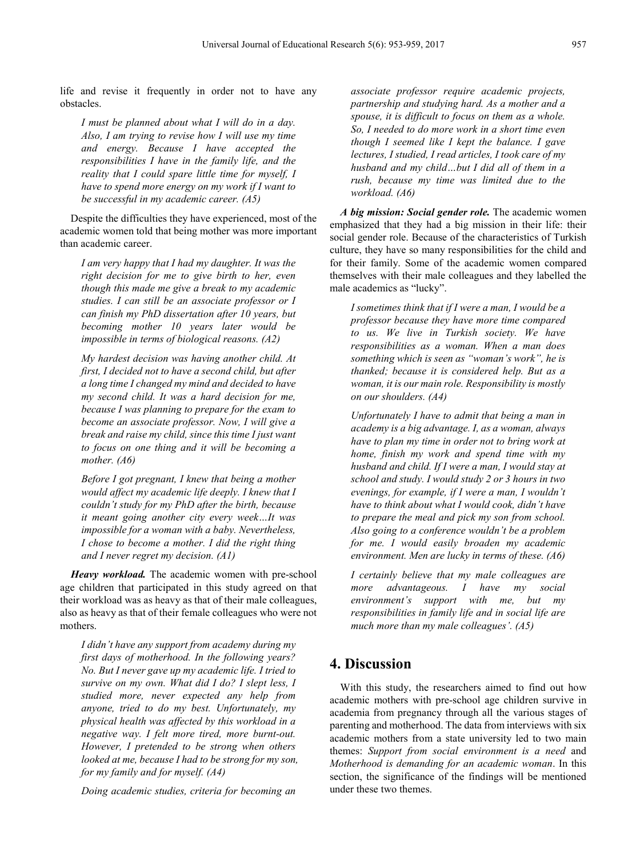life and revise it frequently in order not to have any obstacles.

*I must be planned about what I will do in a day. Also, I am trying to revise how I will use my time and energy. Because I have accepted the responsibilities I have in the family life, and the reality that I could spare little time for myself, I have to spend more energy on my work if I want to be successful in my academic career. (A5)*

Despite the difficulties they have experienced, most of the academic women told that being mother was more important than academic career.

*I am very happy that I had my daughter. It was the right decision for me to give birth to her, even though this made me give a break to my academic studies. I can still be an associate professor or I can finish my PhD dissertation after 10 years, but becoming mother 10 years later would be impossible in terms of biological reasons. (A2)*

*My hardest decision was having another child. At first, I decided not to have a second child, but after a long time I changed my mind and decided to have my second child. It was a hard decision for me, because I was planning to prepare for the exam to become an associate professor. Now, I will give a break and raise my child, since this time I just want to focus on one thing and it will be becoming a mother. (A6)*

*Before I got pregnant, I knew that being a mother would affect my academic life deeply. I knew that I couldn't study for my PhD after the birth, because it meant going another city every week…It was impossible for a woman with a baby. Nevertheless, I chose to become a mother. I did the right thing and I never regret my decision. (A1)*

*Heavy workload.* The academic women with pre-school age children that participated in this study agreed on that their workload was as heavy as that of their male colleagues, also as heavy as that of their female colleagues who were not mothers.

*I didn't have any support from academy during my first days of motherhood. In the following years? No. But I never gave up my academic life. I tried to survive on my own. What did I do? I slept less, I studied more, never expected any help from anyone, tried to do my best. Unfortunately, my physical health was affected by this workload in a negative way. I felt more tired, more burnt-out. However, I pretended to be strong when others looked at me, because I had to be strong for my son, for my family and for myself. (A4)*

*Doing academic studies, criteria for becoming an* 

*associate professor require academic projects, partnership and studying hard. As a mother and a spouse, it is difficult to focus on them as a whole. So, I needed to do more work in a short time even though I seemed like I kept the balance. I gave lectures, I studied, I read articles, I took care of my husband and my child…but I did all of them in a rush, because my time was limited due to the workload. (A6)*

*A big mission: Social gender role.* The academic women emphasized that they had a big mission in their life: their social gender role. Because of the characteristics of Turkish culture, they have so many responsibilities for the child and for their family. Some of the academic women compared themselves with their male colleagues and they labelled the male academics as "lucky".

*I sometimes think that if I were a man, I would be a professor because they have more time compared to us. We live in Turkish society. We have responsibilities as a woman. When a man does something which is seen as "woman's work", he is thanked; because it is considered help. But as a woman, it is our main role. Responsibility is mostly on our shoulders. (A4)*

*Unfortunately I have to admit that being a man in academy is a big advantage. I, as a woman, always have to plan my time in order not to bring work at home, finish my work and spend time with my husband and child. If I were a man, I would stay at school and study. I would study 2 or 3 hours in two evenings, for example, if I were a man, I wouldn't have to think about what I would cook, didn't have to prepare the meal and pick my son from school. Also going to a conference wouldn't be a problem for me. I would easily broaden my academic environment. Men are lucky in terms of these. (A6)*

*I certainly believe that my male colleagues are more advantageous. I have my social environment's support with me, but my responsibilities in family life and in social life are much more than my male colleagues'. (A5)*

## **4. Discussion**

With this study, the researchers aimed to find out how academic mothers with pre-school age children survive in academia from pregnancy through all the various stages of parenting and motherhood. The data from interviews with six academic mothers from a state university led to two main themes: *Support from social environment is a need* and *Motherhood is demanding for an academic woman*. In this section, the significance of the findings will be mentioned under these two themes.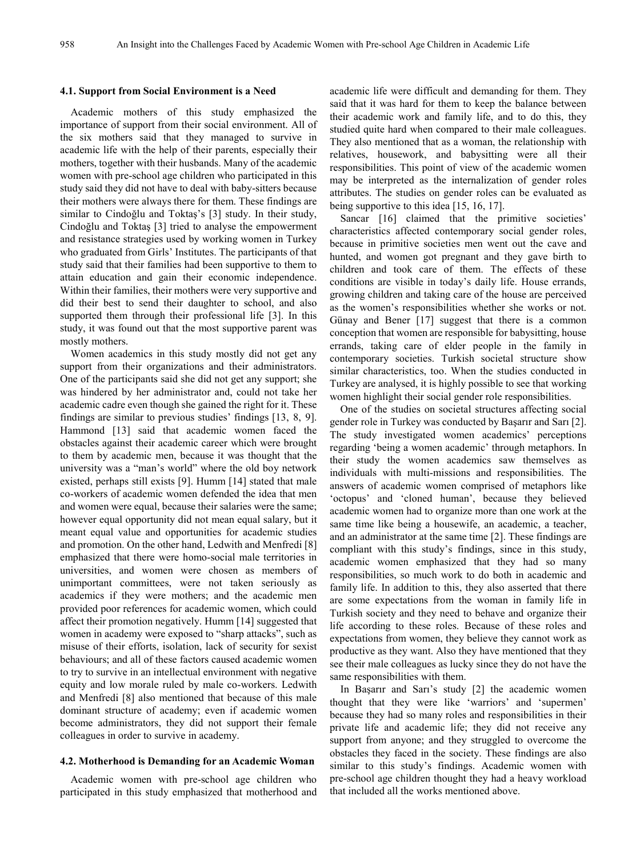#### **4.1. Support from Social Environment is a Need**

Academic mothers of this study emphasized the importance of support from their social environment. All of the six mothers said that they managed to survive in academic life with the help of their parents, especially their mothers, together with their husbands. Many of the academic women with pre-school age children who participated in this study said they did not have to deal with baby-sitters because their mothers were always there for them. These findings are similar to Cindoğlu and Toktaş's [3] study. In their study, Cindoğlu and Toktaş [3] tried to analyse the empowerment and resistance strategies used by working women in Turkey who graduated from Girls' Institutes. The participants of that study said that their families had been supportive to them to attain education and gain their economic independence. Within their families, their mothers were very supportive and did their best to send their daughter to school, and also supported them through their professional life [3]. In this study, it was found out that the most supportive parent was mostly mothers.

Women academics in this study mostly did not get any support from their organizations and their administrators. One of the participants said she did not get any support; she was hindered by her administrator and, could not take her academic cadre even though she gained the right for it. These findings are similar to previous studies' findings [13, 8, 9]. Hammond [13] said that academic women faced the obstacles against their academic career which were brought to them by academic men, because it was thought that the university was a "man's world" where the old boy network existed, perhaps still exists [9]. Humm [14] stated that male co-workers of academic women defended the idea that men and women were equal, because their salaries were the same; however equal opportunity did not mean equal salary, but it meant equal value and opportunities for academic studies and promotion. On the other hand, Ledwith and Menfredi [8] emphasized that there were homo-social male territories in universities, and women were chosen as members of unimportant committees, were not taken seriously as academics if they were mothers; and the academic men provided poor references for academic women, which could affect their promotion negatively. Humm [14] suggested that women in academy were exposed to "sharp attacks", such as misuse of their efforts, isolation, lack of security for sexist behaviours; and all of these factors caused academic women to try to survive in an intellectual environment with negative equity and low morale ruled by male co-workers. Ledwith and Menfredi [8] also mentioned that because of this male dominant structure of academy; even if academic women become administrators, they did not support their female colleagues in order to survive in academy.

#### **4.2. Motherhood is Demanding for an Academic Woman**

Academic women with pre-school age children who participated in this study emphasized that motherhood and academic life were difficult and demanding for them. They said that it was hard for them to keep the balance between their academic work and family life, and to do this, they studied quite hard when compared to their male colleagues. They also mentioned that as a woman, the relationship with relatives, housework, and babysitting were all their responsibilities. This point of view of the academic women may be interpreted as the internalization of gender roles attributes. The studies on gender roles can be evaluated as being supportive to this idea [15, 16, 17].

Sancar [16] claimed that the primitive societies' characteristics affected contemporary social gender roles, because in primitive societies men went out the cave and hunted, and women got pregnant and they gave birth to children and took care of them. The effects of these conditions are visible in today's daily life. House errands, growing children and taking care of the house are perceived as the women's responsibilities whether she works or not. Günay and Bener [17] suggest that there is a common conception that women are responsible for babysitting, house errands, taking care of elder people in the family in contemporary societies. Turkish societal structure show similar characteristics, too. When the studies conducted in Turkey are analysed, it is highly possible to see that working women highlight their social gender role responsibilities.

One of the studies on societal structures affecting social gender role in Turkey was conducted by Başarır and Sarı [2]. The study investigated women academics' perceptions regarding 'being a women academic' through metaphors. In their study the women academics saw themselves as individuals with multi-missions and responsibilities. The answers of academic women comprised of metaphors like 'octopus' and 'cloned human', because they believed academic women had to organize more than one work at the same time like being a housewife, an academic, a teacher, and an administrator at the same time [2]. These findings are compliant with this study's findings, since in this study, academic women emphasized that they had so many responsibilities, so much work to do both in academic and family life. In addition to this, they also asserted that there are some expectations from the woman in family life in Turkish society and they need to behave and organize their life according to these roles. Because of these roles and expectations from women, they believe they cannot work as productive as they want. Also they have mentioned that they see their male colleagues as lucky since they do not have the same responsibilities with them.

In Başarır and Sarı's study [2] the academic women thought that they were like 'warriors' and 'supermen' because they had so many roles and responsibilities in their private life and academic life; they did not receive any support from anyone; and they struggled to overcome the obstacles they faced in the society. These findings are also similar to this study's findings. Academic women with pre-school age children thought they had a heavy workload that included all the works mentioned above.